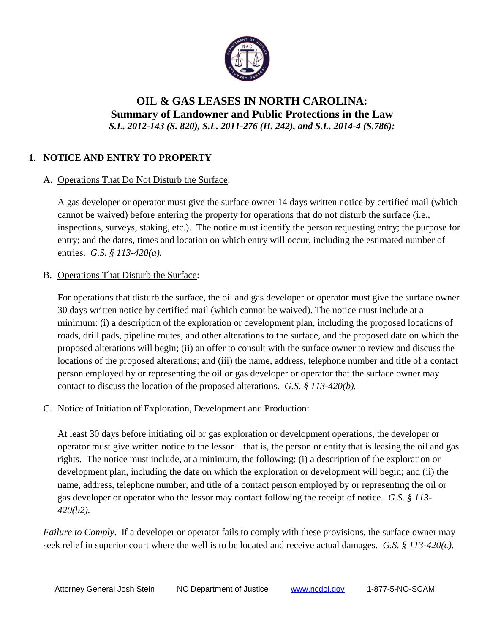

# **OIL & GAS LEASES IN NORTH CAROLINA: Summary of Landowner and Public Protections in the Law**  *S.L. 2012-143 (S. 820), S.L. 2011-276 (H. 242), and S.L. 2014-4 (S.786):*

# **1. NOTICE AND ENTRY TO PROPERTY**

## A. Operations That Do Not Disturb the Surface:

A gas developer or operator must give the surface owner 14 days written notice by certified mail (which cannot be waived) before entering the property for operations that do not disturb the surface (i.e., inspections, surveys, staking, etc.). The notice must identify the person requesting entry; the purpose for entry; and the dates, times and location on which entry will occur, including the estimated number of entries. *G.S. § 113-420(a).* 

## B. Operations That Disturb the Surface:

For operations that disturb the surface, the oil and gas developer or operator must give the surface owner 30 days written notice by certified mail (which cannot be waived). The notice must include at a minimum: (i) a description of the exploration or development plan, including the proposed locations of roads, drill pads, pipeline routes, and other alterations to the surface, and the proposed date on which the proposed alterations will begin; (ii) an offer to consult with the surface owner to review and discuss the locations of the proposed alterations; and (iii) the name, address, telephone number and title of a contact person employed by or representing the oil or gas developer or operator that the surface owner may contact to discuss the location of the proposed alterations. *G.S. § 113-420(b).*

# C. Notice of Initiation of Exploration, Development and Production:

At least 30 days before initiating oil or gas exploration or development operations, the developer or operator must give written notice to the lessor – that is, the person or entity that is leasing the oil and gas rights. The notice must include, at a minimum, the following: (i) a description of the exploration or development plan, including the date on which the exploration or development will begin; and (ii) the name, address, telephone number, and title of a contact person employed by or representing the oil or gas developer or operator who the lessor may contact following the receipt of notice. *G.S. § 113- 420(b2).*

*Failure to Comply*. If a developer or operator fails to comply with these provisions, the surface owner may seek relief in superior court where the well is to be located and receive actual damages. *G.S. § 113-420(c).*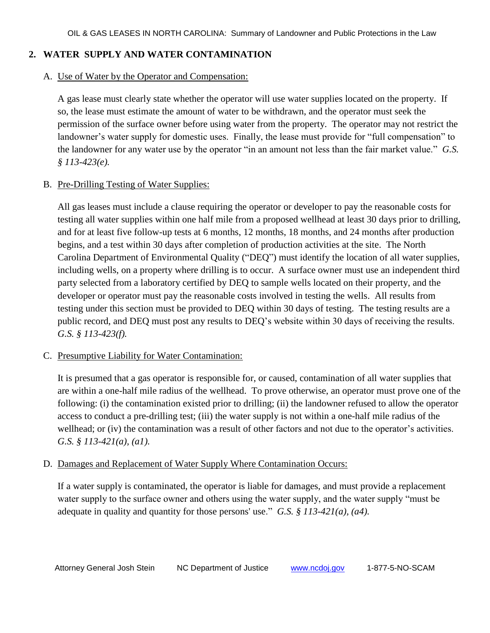# **2. WATER SUPPLY AND WATER CONTAMINATION**

## A. Use of Water by the Operator and Compensation:

A gas lease must clearly state whether the operator will use water supplies located on the property. If so, the lease must estimate the amount of water to be withdrawn, and the operator must seek the permission of the surface owner before using water from the property. The operator may not restrict the landowner's water supply for domestic uses. Finally, the lease must provide for "full compensation" to the landowner for any water use by the operator "in an amount not less than the fair market value." *G.S. § 113-423(e).*

## B. Pre-Drilling Testing of Water Supplies:

All gas leases must include a clause requiring the operator or developer to pay the reasonable costs for testing all water supplies within one half mile from a proposed wellhead at least 30 days prior to drilling, and for at least five follow-up tests at 6 months, 12 months, 18 months, and 24 months after production begins, and a test within 30 days after completion of production activities at the site. The North Carolina Department of Environmental Quality ("DEQ") must identify the location of all water supplies, including wells, on a property where drilling is to occur. A surface owner must use an independent third party selected from a laboratory certified by DEQ to sample wells located on their property, and the developer or operator must pay the reasonable costs involved in testing the wells. All results from testing under this section must be provided to DEQ within 30 days of testing. The testing results are a public record, and DEQ must post any results to DEQ's website within 30 days of receiving the results. *G.S. § 113-423(f).*

# C. Presumptive Liability for Water Contamination:

It is presumed that a gas operator is responsible for, or caused, contamination of all water supplies that are within a one-half mile radius of the wellhead. To prove otherwise, an operator must prove one of the following: (i) the contamination existed prior to drilling; (ii) the landowner refused to allow the operator access to conduct a pre-drilling test; (iii) the water supply is not within a one-half mile radius of the wellhead; or (iv) the contamination was a result of other factors and not due to the operator's activities. *G.S. § 113-421(a), (a1).*

# D. Damages and Replacement of Water Supply Where Contamination Occurs:

If a water supply is contaminated, the operator is liable for damages, and must provide a replacement water supply to the surface owner and others using the water supply, and the water supply "must be adequate in quality and quantity for those persons' use." *G.S. § 113-421(a), (a4).*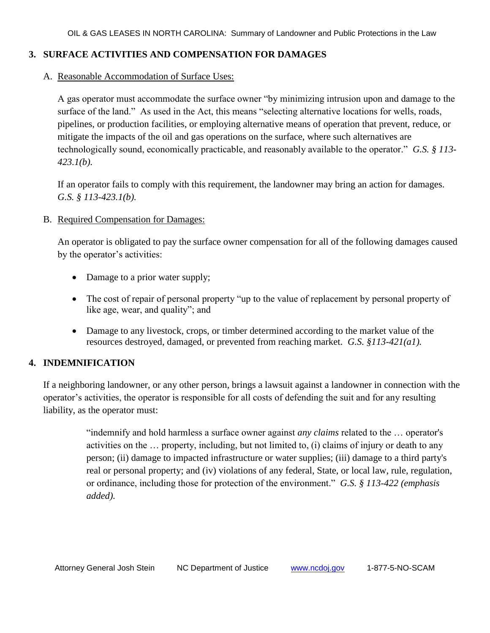## **3. SURFACE ACTIVITIES AND COMPENSATION FOR DAMAGES**

A. Reasonable Accommodation of Surface Uses:

A gas operator must accommodate the surface owner "by minimizing intrusion upon and damage to the surface of the land." As used in the Act, this means "selecting alternative locations for wells, roads, pipelines, or production facilities, or employing alternative means of operation that prevent, reduce, or mitigate the impacts of the oil and gas operations on the surface, where such alternatives are technologically sound, economically practicable, and reasonably available to the operator." *G.S. § 113- 423.1(b).* 

If an operator fails to comply with this requirement, the landowner may bring an action for damages. *G.S. § 113-423.1(b).*

B. Required Compensation for Damages:

An operator is obligated to pay the surface owner compensation for all of the following damages caused by the operator's activities:

- Damage to a prior water supply;
- The cost of repair of personal property "up to the value of replacement by personal property of like age, wear, and quality"; and
- Damage to any livestock, crops, or timber determined according to the market value of the resources destroyed, damaged, or prevented from reaching market. *G.S. §113-421(a1).*

#### **4. INDEMNIFICATION**

If a neighboring landowner, or any other person, brings a lawsuit against a landowner in connection with the operator's activities, the operator is responsible for all costs of defending the suit and for any resulting liability, as the operator must:

> "indemnify and hold harmless a surface owner against *any claims* related to the … operator's activities on the … property, including, but not limited to, (i) claims of injury or death to any person; (ii) damage to impacted infrastructure or water supplies; (iii) damage to a third party's real or personal property; and (iv) violations of any federal, State, or local law, rule, regulation, or ordinance, including those for protection of the environment." *G.S. § 113-422 (emphasis added).*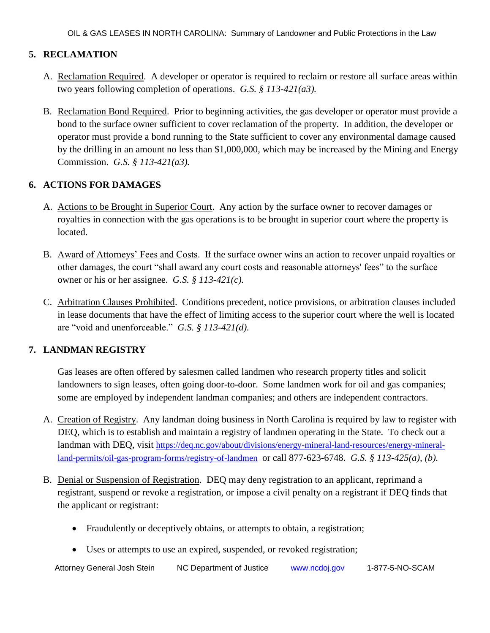# **5. RECLAMATION**

- A. Reclamation Required. A developer or operator is required to reclaim or restore all surface areas within two years following completion of operations. *G.S. § 113-421(a3).*
- B. Reclamation Bond Required. Prior to beginning activities, the gas developer or operator must provide a bond to the surface owner sufficient to cover reclamation of the property. In addition, the developer or operator must provide a bond running to the State sufficient to cover any environmental damage caused by the drilling in an amount no less than \$1,000,000, which may be increased by the Mining and Energy Commission. *G.S. § 113-421(a3).*

# **6. ACTIONS FOR DAMAGES**

- A. Actions to be Brought in Superior Court. Any action by the surface owner to recover damages or royalties in connection with the gas operations is to be brought in superior court where the property is located.
- B. Award of Attorneys' Fees and Costs. If the surface owner wins an action to recover unpaid royalties or other damages, the court "shall award any court costs and reasonable attorneys' fees" to the surface owner or his or her assignee. *G.S. § 113-421(c).*
- C. Arbitration Clauses Prohibited. Conditions precedent, notice provisions, or arbitration clauses included in lease documents that have the effect of limiting access to the superior court where the well is located are "void and unenforceable." *G.S. § 113-421(d).*

#### **7. LANDMAN REGISTRY**

Gas leases are often offered by salesmen called landmen who research property titles and solicit landowners to sign leases, often going door-to-door. Some landmen work for oil and gas companies; some are employed by independent landman companies; and others are independent contractors.

- A. Creation of Registry. Any landman doing business in North Carolina is required by law to register with DEQ, which is to establish and maintain a registry of landmen operating in the State. To check out a landman with DEQ, visit [https://deq.nc.gov/about/divisions/energy-mineral-land-resources/energy-mineral](https://deq.nc.gov/about/divisions/energy-mineral-land-resources/energy-mineral-land-permits/oil-gas-program-forms/registry-of-landmen)[land-permits/oil-gas-program-forms/registry-of-landmen](https://deq.nc.gov/about/divisions/energy-mineral-land-resources/energy-mineral-land-permits/oil-gas-program-forms/registry-of-landmen) or call 877-623-6748. *G.S. § 113-425(a), (b).*
- B. Denial or Suspension of Registration. DEQ may deny registration to an applicant, reprimand a registrant, suspend or revoke a registration, or impose a civil penalty on a registrant if DEQ finds that the applicant or registrant:
	- Fraudulently or deceptively obtains, or attempts to obtain, a registration;
	- Uses or attempts to use an expired, suspended, or revoked registration;

Attorney General Josh Stein NC Department of Justice [www.ncdoj.gov](http://www.ncdoj.gov/) 1-877-5-NO-SCAM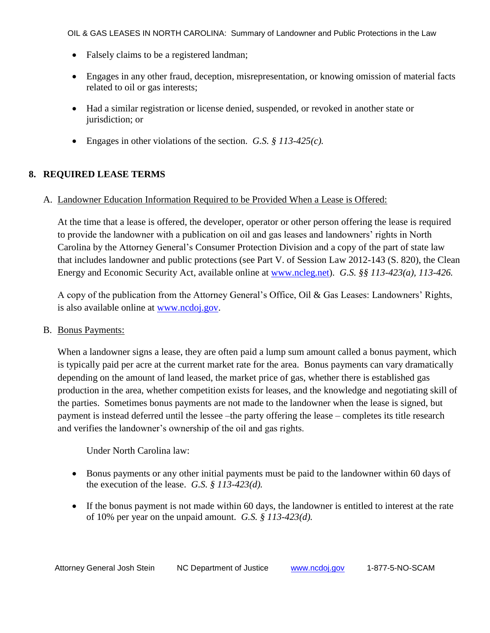OIL & GAS LEASES IN NORTH CAROLINA: Summary of Landowner and Public Protections in the Law

- Falsely claims to be a registered landman;
- Engages in any other fraud, deception, misrepresentation, or knowing omission of material facts related to oil or gas interests;
- Had a similar registration or license denied, suspended, or revoked in another state or jurisdiction; or
- Engages in other violations of the section. *G.S. § 113-425(c).*

## **8. REQUIRED LEASE TERMS**

#### A. Landowner Education Information Required to be Provided When a Lease is Offered:

At the time that a lease is offered, the developer, operator or other person offering the lease is required to provide the landowner with a publication on oil and gas leases and landowners' rights in North Carolina by the Attorney General's Consumer Protection Division and a copy of the part of state law that includes landowner and public protections (see Part V. of Session Law 2012-143 (S. 820), the Clean Energy and Economic Security Act, available online at [www.ncleg.net\)](http://www.ncleg.net/). *G.S. §§ 113-423(a), 113-426.*

A copy of the publication from the Attorney General's Office, Oil & Gas Leases: Landowners' Rights, is also available online at [www.ncdoj.gov.](http://www.ncdoj.gov/)

B. Bonus Payments:

When a landowner signs a lease, they are often paid a lump sum amount called a bonus payment, which is typically paid per acre at the current market rate for the area. Bonus payments can vary dramatically depending on the amount of land leased, the market price of gas, whether there is established gas production in the area, whether competition exists for leases, and the knowledge and negotiating skill of the parties. Sometimes bonus payments are not made to the landowner when the lease is signed, but payment is instead deferred until the lessee –the party offering the lease – completes its title research and verifies the landowner's ownership of the oil and gas rights.

Under North Carolina law:

- Bonus payments or any other initial payments must be paid to the landowner within 60 days of the execution of the lease. *G.S. § 113-423(d).*
- If the bonus payment is not made within 60 days, the landowner is entitled to interest at the rate of 10% per year on the unpaid amount. *G.S. § 113-423(d).*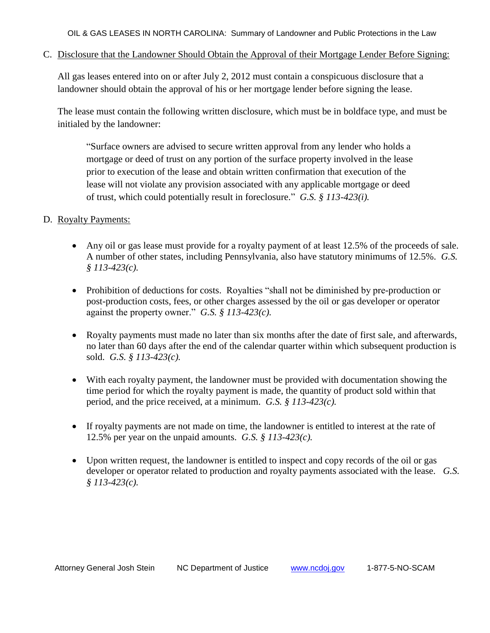OIL & GAS LEASES IN NORTH CAROLINA: Summary of Landowner and Public Protections in the Law

C. Disclosure that the Landowner Should Obtain the Approval of their Mortgage Lender Before Signing:

All gas leases entered into on or after July 2, 2012 must contain a conspicuous disclosure that a landowner should obtain the approval of his or her mortgage lender before signing the lease.

The lease must contain the following written disclosure, which must be in boldface type, and must be initialed by the landowner:

"Surface owners are advised to secure written approval from any lender who holds a mortgage or deed of trust on any portion of the surface property involved in the lease prior to execution of the lease and obtain written confirmation that execution of the lease will not violate any provision associated with any applicable mortgage or deed of trust, which could potentially result in foreclosure." *G.S. § 113-423(i).*

## D. Royalty Payments:

- Any oil or gas lease must provide for a royalty payment of at least 12.5% of the proceeds of sale. A number of other states, including Pennsylvania, also have statutory minimums of 12.5%. *G.S. § 113-423(c).*
- Prohibition of deductions for costs. Royalties "shall not be diminished by pre-production or post-production costs, fees, or other charges assessed by the oil or gas developer or operator against the property owner." *G.S. § 113-423(c).*
- Royalty payments must made no later than six months after the date of first sale, and afterwards, no later than 60 days after the end of the calendar quarter within which subsequent production is sold. *G.S. § 113-423(c).*
- With each royalty payment, the landowner must be provided with documentation showing the time period for which the royalty payment is made, the quantity of product sold within that period, and the price received, at a minimum. *G.S. § 113-423(c).*
- If royalty payments are not made on time, the landowner is entitled to interest at the rate of 12.5% per year on the unpaid amounts. *G.S. § 113-423(c).*
- Upon written request, the landowner is entitled to inspect and copy records of the oil or gas developer or operator related to production and royalty payments associated with the lease. *G.S. § 113-423(c).*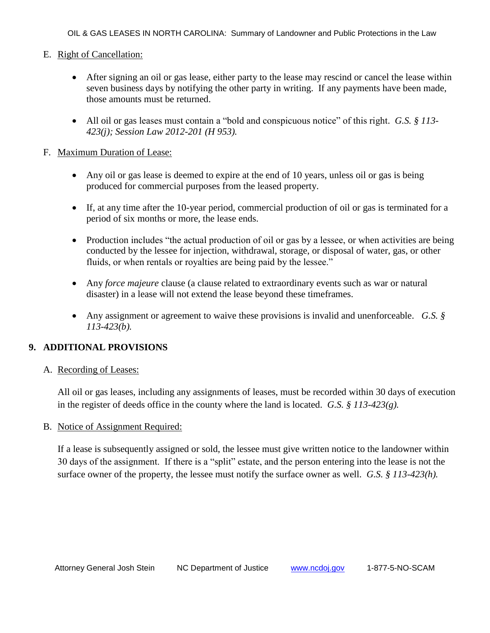OIL & GAS LEASES IN NORTH CAROLINA: Summary of Landowner and Public Protections in the Law

## E. Right of Cancellation:

- After signing an oil or gas lease, either party to the lease may rescind or cancel the lease within seven business days by notifying the other party in writing. If any payments have been made, those amounts must be returned.
- All oil or gas leases must contain a "bold and conspicuous notice" of this right. *G.S. § 113- 423(j); Session Law 2012-201 (H 953).*

### F. Maximum Duration of Lease:

- Any oil or gas lease is deemed to expire at the end of 10 years, unless oil or gas is being produced for commercial purposes from the leased property.
- If, at any time after the 10-year period, commercial production of oil or gas is terminated for a period of six months or more, the lease ends.
- Production includes "the actual production of oil or gas by a lessee, or when activities are being conducted by the lessee for injection, withdrawal, storage, or disposal of water, gas, or other fluids, or when rentals or royalties are being paid by the lessee."
- Any *force majeure* clause (a clause related to extraordinary events such as war or natural disaster) in a lease will not extend the lease beyond these timeframes.
- Any assignment or agreement to waive these provisions is invalid and unenforceable. *G.S. § 113-423(b).*

# **9. ADDITIONAL PROVISIONS**

#### A. Recording of Leases:

All oil or gas leases, including any assignments of leases, must be recorded within 30 days of execution in the register of deeds office in the county where the land is located. *G.S. § 113-423(g).*

#### B. Notice of Assignment Required:

If a lease is subsequently assigned or sold, the lessee must give written notice to the landowner within 30 days of the assignment. If there is a "split" estate, and the person entering into the lease is not the surface owner of the property, the lessee must notify the surface owner as well. *G.S. § 113-423(h).*